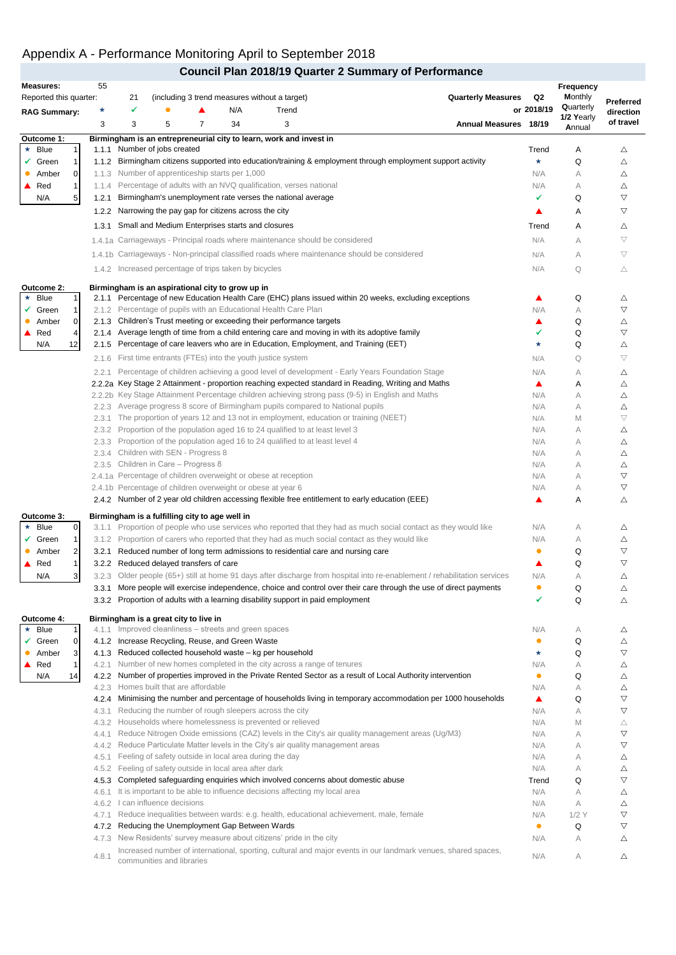### Appendix A - Performance Monitoring April to September 2018

|                                 |                    |                                 |                        |                                                |                                                             |                                                                                                                                                                      | <b>Council Plan 2018/19 Quarter 2 Summary of Performance</b>                                                              |            |                      |                         |
|---------------------------------|--------------------|---------------------------------|------------------------|------------------------------------------------|-------------------------------------------------------------|----------------------------------------------------------------------------------------------------------------------------------------------------------------------|---------------------------------------------------------------------------------------------------------------------------|------------|----------------------|-------------------------|
| <b>Measures:</b>                | 55                 |                                 |                        |                                                |                                                             |                                                                                                                                                                      |                                                                                                                           |            | Frequency            |                         |
| Reported this quarter:          |                    | 21                              |                        |                                                |                                                             | (including 3 trend measures without a target)                                                                                                                        | <b>Quarterly Measures</b>                                                                                                 | Q2         | <b>Monthly</b>       | Preferred               |
| <b>RAG Summary:</b>             | ★                  | ✓                               |                        |                                                | N/A                                                         | Trend                                                                                                                                                                |                                                                                                                           | or 2018/19 | Quarterly            | direction               |
|                                 | 3                  | 3                               | 5                      | $\overline{7}$                                 | 34                                                          | 3                                                                                                                                                                    | Annual Measures 18/19                                                                                                     |            | 1/2 Yearly<br>Annual | of travel               |
| Outcome 1:                      |                    |                                 |                        |                                                |                                                             | Birmingham is an entrepreneurial city to learn, work and invest in                                                                                                   |                                                                                                                           |            |                      |                         |
| Blue<br>1<br>$\star$            | 1.1.1              |                                 | Number of jobs created |                                                |                                                             |                                                                                                                                                                      |                                                                                                                           | Trend      | Α                    | Δ                       |
| $\checkmark$ Green<br>1         |                    |                                 |                        |                                                |                                                             |                                                                                                                                                                      | 1.1.2 Birmingham citizens supported into education/training & employment through employment support activity              | $\star$    | Q                    | Δ                       |
| Amber<br>0                      |                    |                                 |                        |                                                | 1.1.3 Number of apprenticeship starts per 1,000             |                                                                                                                                                                      |                                                                                                                           | N/A        | А                    | Δ                       |
| $\mathbf{1}$<br>$\triangle$ Red |                    |                                 |                        |                                                |                                                             | 1.1.4 Percentage of adults with an NVQ qualification, verses national                                                                                                |                                                                                                                           | N/A        | А                    | Δ                       |
| N/A<br>5                        | 1.2.1              |                                 |                        |                                                |                                                             | Birmingham's unemployment rate verses the national average                                                                                                           |                                                                                                                           | ✔          | Q                    | ▽                       |
|                                 |                    |                                 |                        |                                                | 1.2.2 Narrowing the pay gap for citizens across the city    |                                                                                                                                                                      |                                                                                                                           |            | Α                    | ▽                       |
|                                 | 1.3.1              |                                 |                        |                                                | Small and Medium Enterprises starts and closures            |                                                                                                                                                                      |                                                                                                                           | Trend      | Α                    | Δ                       |
|                                 |                    |                                 |                        |                                                |                                                             | 1.4.1a Carriageways - Principal roads where maintenance should be considered                                                                                         |                                                                                                                           | N/A        | A                    | $\bigtriangledown$      |
|                                 |                    |                                 |                        |                                                |                                                             |                                                                                                                                                                      | 1.4.1b Carriageways - Non-principal classified roads where maintenance should be considered                               | N/A        | А                    | $\bigtriangledown$      |
|                                 |                    |                                 |                        |                                                | 1.4.2 Increased percentage of trips taken by bicycles       |                                                                                                                                                                      |                                                                                                                           | N/A        | Q                    | Δ                       |
|                                 |                    |                                 |                        |                                                |                                                             |                                                                                                                                                                      |                                                                                                                           |            |                      |                         |
| Outcome 2:                      |                    |                                 |                        |                                                | Birmingham is an aspirational city to grow up in            |                                                                                                                                                                      |                                                                                                                           |            |                      |                         |
| $\star$ Blue<br>1               |                    |                                 |                        |                                                |                                                             | 2.1.2 Percentage of pupils with an Educational Health Care Plan                                                                                                      | 2.1.1 Percentage of new Education Health Care (EHC) plans issued within 20 weeks, excluding exceptions                    | ▲          | Q                    | Δ<br>$\nabla$           |
| Green<br>1<br>✓<br>0            |                    |                                 |                        |                                                |                                                             |                                                                                                                                                                      |                                                                                                                           | N/A        | А                    |                         |
| Amber<br>Red<br>4               |                    |                                 |                        |                                                |                                                             | 2.1.3 Children's Trust meeting or exceeding their performance targets                                                                                                | 2.1.4 Average length of time from a child entering care and moving in with its adoptive family                            | ▲<br>✔     | Q<br>Q               | Δ<br>$\bigtriangledown$ |
| N/A<br>12                       | 2.1.5              |                                 |                        |                                                |                                                             | Percentage of care leavers who are in Education, Employment, and Training (EET)                                                                                      |                                                                                                                           | *          | Q                    | Δ                       |
|                                 |                    |                                 |                        |                                                |                                                             |                                                                                                                                                                      |                                                                                                                           |            |                      |                         |
|                                 | 2.1.6              |                                 |                        |                                                |                                                             | First time entrants (FTEs) into the youth justice system                                                                                                             |                                                                                                                           | N/A        | Q                    | $\bigtriangledown$      |
|                                 | 2.2.1              |                                 |                        |                                                |                                                             |                                                                                                                                                                      | Percentage of children achieving a good level of development - Early Years Foundation Stage                               | N/A        | А                    | Δ                       |
|                                 |                    |                                 |                        |                                                |                                                             |                                                                                                                                                                      | 2.2.2a Key Stage 2 Attainment - proportion reaching expected standard in Reading, Writing and Maths                       | ▲          | Α                    | Δ                       |
|                                 | 2.2.2 <sub>b</sub> |                                 |                        |                                                |                                                             |                                                                                                                                                                      | Key Stage Attainment Percentage children achieving strong pass (9-5) in English and Maths                                 | N/A        | А                    | Δ                       |
|                                 |                    |                                 |                        |                                                |                                                             | 2.2.3 Average progress 8 score of Birmingham pupils compared to National pupils<br>The proportion of years 12 and 13 not in employment, education or training (NEET) |                                                                                                                           | N/A        | А                    | Δ<br>$\bigtriangledown$ |
|                                 | 2.3.1              |                                 |                        |                                                |                                                             | 2.3.2 Proportion of the population aged 16 to 24 qualified to at least level 3                                                                                       |                                                                                                                           | N/A<br>N/A | M<br>А               |                         |
|                                 |                    |                                 |                        |                                                |                                                             | 2.3.3 Proportion of the population aged 16 to 24 qualified to at least level 4                                                                                       |                                                                                                                           | N/A        | А                    | Δ<br>Δ                  |
|                                 |                    |                                 |                        | 2.3.4 Children with SEN - Progress 8           |                                                             |                                                                                                                                                                      |                                                                                                                           | N/A        | А                    | Δ                       |
|                                 |                    |                                 |                        | 2.3.5 Children in Care - Progress 8            |                                                             |                                                                                                                                                                      |                                                                                                                           | N/A        | A                    | Δ                       |
|                                 |                    |                                 |                        |                                                |                                                             | 2.4.1a Percentage of children overweight or obese at reception                                                                                                       |                                                                                                                           | N/A        | А                    | $\bigtriangledown$      |
|                                 |                    |                                 |                        |                                                | 2.4.1b Percentage of children overweight or obese at year 6 |                                                                                                                                                                      |                                                                                                                           | N/A        | А                    | $\bigtriangledown$      |
|                                 |                    |                                 |                        |                                                |                                                             |                                                                                                                                                                      | 2.4.2 Number of 2 year old children accessing flexible free entitlement to early education (EEE)                          | ▲          | Α                    | Δ                       |
| Outcome 3:                      |                    |                                 |                        | Birmingham is a fulfilling city to age well in |                                                             |                                                                                                                                                                      |                                                                                                                           |            |                      |                         |
| Blue<br>0<br>*                  |                    |                                 |                        |                                                |                                                             |                                                                                                                                                                      | 3.1.1 Proportion of people who use services who reported that they had as much social contact as they would like          | N/A        | А                    | Δ                       |
| $\checkmark$ Green<br>1         |                    |                                 |                        |                                                |                                                             |                                                                                                                                                                      | 3.1.2 Proportion of carers who reported that they had as much social contact as they would like                           | N/A        | A                    | Δ                       |
| 2<br>Amber                      |                    |                                 |                        |                                                |                                                             | 3.2.1 Reduced number of long term admissions to residential care and nursing care                                                                                    |                                                                                                                           | $\bullet$  | Q                    | $\bigtriangledown$      |
| 1<br>Red                        |                    |                                 |                        | 3.2.2 Reduced delayed transfers of care        |                                                             |                                                                                                                                                                      |                                                                                                                           |            | Q                    | $\triangledown$         |
| N/A<br>3 <sup>1</sup>           |                    |                                 |                        |                                                |                                                             |                                                                                                                                                                      | 3.2.3 Older people (65+) still at home 91 days after discharge from hospital into re-enablement / rehabilitation services | N/A        | А                    | Δ                       |
|                                 |                    |                                 |                        |                                                |                                                             |                                                                                                                                                                      | 3.3.1 More people will exercise independence, choice and control over their care through the use of direct payments       | $\bullet$  | Q                    | Δ                       |
|                                 |                    |                                 |                        |                                                |                                                             | 3.3.2 Proportion of adults with a learning disability support in paid employment                                                                                     |                                                                                                                           |            | Q                    | Δ                       |
| Outcome 4:                      |                    |                                 |                        | Birmingham is a great city to live in          |                                                             |                                                                                                                                                                      |                                                                                                                           |            |                      |                         |
| Blue<br>$\star$<br>1            |                    |                                 |                        |                                                | 4.1.1 Improved cleanliness - streets and green spaces       |                                                                                                                                                                      |                                                                                                                           | N/A        | А                    | Δ                       |
| $\checkmark$ Green<br>0         |                    |                                 |                        |                                                | 4.1.2 Increase Recycling, Reuse, and Green Waste            |                                                                                                                                                                      |                                                                                                                           | $\bullet$  | Q                    | Δ                       |
| 3<br>Amber                      |                    |                                 |                        |                                                |                                                             | 4.1.3 Reduced collected household waste - kg per household                                                                                                           |                                                                                                                           | *          | Q                    | $\bigtriangledown$      |
| 1<br>Red                        |                    |                                 |                        |                                                |                                                             | 4.2.1 Number of new homes completed in the city across a range of tenures                                                                                            |                                                                                                                           | N/A        | А                    | Δ                       |
| N/A<br>14                       |                    |                                 |                        |                                                |                                                             |                                                                                                                                                                      | 4.2.2 Number of properties improved in the Private Rented Sector as a result of Local Authority intervention              | $\bullet$  | Q                    | Δ                       |
|                                 |                    |                                 |                        | 4.2.3 Homes built that are affordable          |                                                             |                                                                                                                                                                      |                                                                                                                           | N/A        | А                    | Δ                       |
|                                 | 4.2.4              |                                 |                        |                                                |                                                             | 4.3.1 Reducing the number of rough sleepers across the city                                                                                                          | Minimising the number and percentage of households living in temporary accommodation per 1000 households                  | ▲          | Q                    | $\bigtriangledown$      |
|                                 |                    |                                 |                        |                                                |                                                             | 4.3.2 Households where homelessness is prevented or relieved                                                                                                         |                                                                                                                           | N/A<br>N/A | А<br>M               | ▽                       |
|                                 | 4.4.1              |                                 |                        |                                                |                                                             |                                                                                                                                                                      | Reduce Nitrogen Oxide emissions (CAZ) levels in the City's air quality management areas (Ug/M3)                           | N/A        | А                    | Δ<br>$\bigtriangledown$ |
|                                 |                    |                                 |                        |                                                |                                                             | 4.4.2 Reduce Particulate Matter levels in the City's air quality management areas                                                                                    |                                                                                                                           | N/A        | А                    | $\bigtriangledown$      |
|                                 | 4.5.1              |                                 |                        |                                                | Feeling of safety outside in local area during the day      |                                                                                                                                                                      |                                                                                                                           | N/A        | A                    | Δ                       |
|                                 |                    |                                 |                        |                                                | 4.5.2 Feeling of safety outside in local area after dark    |                                                                                                                                                                      |                                                                                                                           | N/A        | А                    | Δ                       |
|                                 |                    |                                 |                        |                                                |                                                             | 4.5.3 Completed safeguarding enquiries which involved concerns about domestic abuse                                                                                  |                                                                                                                           | Trend      | Q                    | $\bigtriangledown$      |
|                                 |                    |                                 |                        |                                                |                                                             | 4.6.1 It is important to be able to influence decisions affecting my local area                                                                                      |                                                                                                                           | N/A        | А                    | Δ                       |
|                                 |                    | 4.6.2 I can influence decisions |                        |                                                |                                                             |                                                                                                                                                                      |                                                                                                                           | N/A        | А                    | Δ                       |
|                                 | 4.7.1              |                                 |                        |                                                |                                                             |                                                                                                                                                                      | Reduce inequalities between wards: e.g. health, educational achievement, male, female                                     | N/A        | $1/2$ Y              | $\bigtriangledown$      |
|                                 |                    |                                 |                        |                                                | 4.7.2 Reducing the Unemployment Gap Between Wards           |                                                                                                                                                                      |                                                                                                                           | $\bullet$  | Q                    | ▽                       |
|                                 |                    |                                 |                        |                                                |                                                             | 4.7.3 New Residents' survey measure about citizens' pride in the city                                                                                                |                                                                                                                           | N/A        | А                    | Δ                       |
|                                 | 4.8.1              |                                 |                        | communities and libraries                      |                                                             |                                                                                                                                                                      | Increased number of international, sporting, cultural and major events in our landmark venues, shared spaces,             | N/A        | A                    | Δ                       |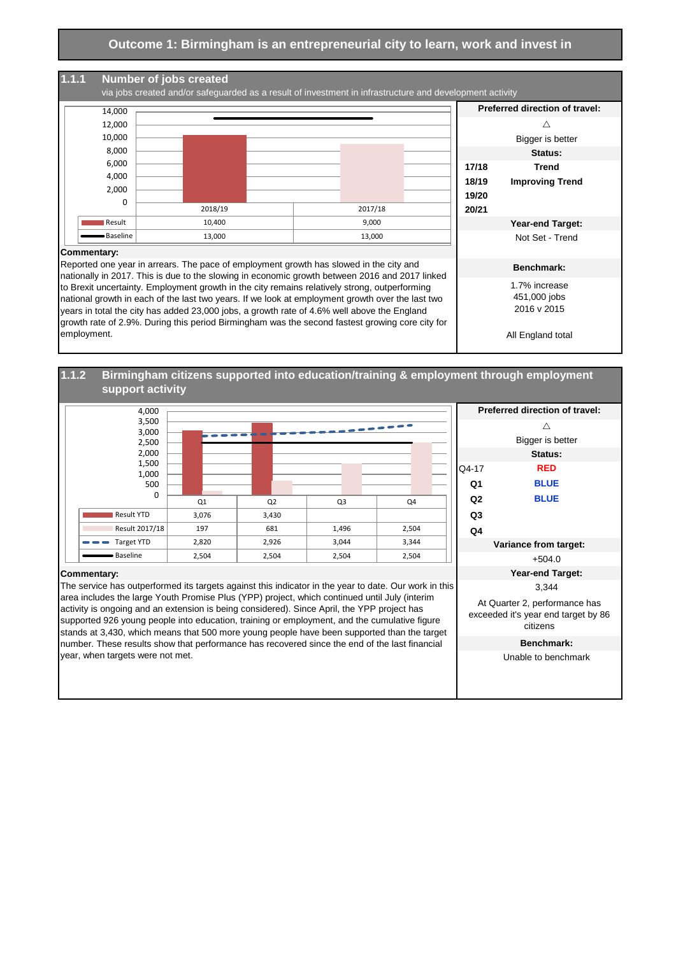

#### **1.1.2 Birmingham citizens supported into education/training & employment through employment support activity**



Unable to benchmark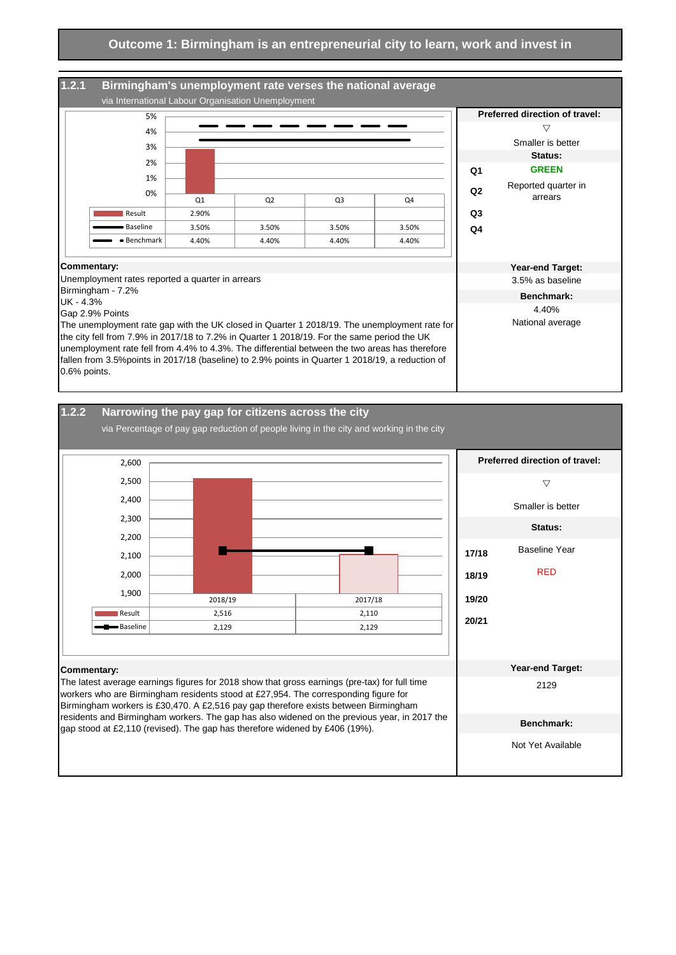

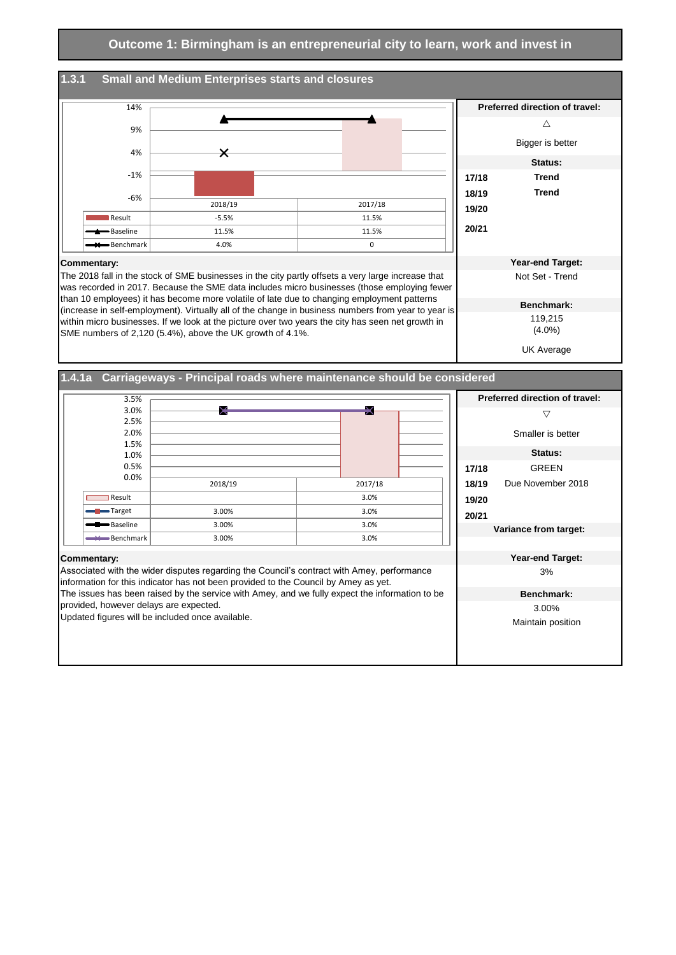

UK Average

**1.4.1a Carriageways - Principal roads where maintenance should be considered**

| 3.5%                                                                                           |                                                                                            |  |         |  |       | <b>Preferred direction of travel:</b> |
|------------------------------------------------------------------------------------------------|--------------------------------------------------------------------------------------------|--|---------|--|-------|---------------------------------------|
| 3.0%                                                                                           | ⋉                                                                                          |  | x       |  |       | ▽                                     |
| 2.5%                                                                                           |                                                                                            |  |         |  |       |                                       |
| 2.0%                                                                                           |                                                                                            |  |         |  |       | Smaller is better                     |
| 1.5%                                                                                           |                                                                                            |  |         |  |       | Status:                               |
| 1.0%                                                                                           |                                                                                            |  |         |  |       |                                       |
| 0.5%                                                                                           |                                                                                            |  |         |  | 17/18 | <b>GREEN</b>                          |
| 0.0%                                                                                           | 2018/19                                                                                    |  | 2017/18 |  | 18/19 | Due November 2018                     |
| Result                                                                                         |                                                                                            |  | 3.0%    |  | 19/20 |                                       |
| <b>Target</b>                                                                                  | 3.00%                                                                                      |  | 3.0%    |  | 20/21 |                                       |
| Baseline                                                                                       | 3.00%                                                                                      |  | 3.0%    |  |       | Variance from target:                 |
| Benchmark                                                                                      | 3.00%                                                                                      |  | 3.0%    |  |       |                                       |
| Commentary:                                                                                    |                                                                                            |  |         |  |       | <b>Year-end Target:</b>               |
|                                                                                                | Associated with the wider disputes regarding the Council's contract with Amey, performance |  |         |  |       | 3%                                    |
|                                                                                                | information for this indicator has not been provided to the Council by Amey as yet.        |  |         |  |       |                                       |
| The issues has been raised by the service with Amey, and we fully expect the information to be |                                                                                            |  |         |  |       | Benchmark:                            |
| provided, however delays are expected.                                                         |                                                                                            |  |         |  |       | 3.00%                                 |
| Updated figures will be included once available.                                               |                                                                                            |  |         |  |       | Maintain position                     |
|                                                                                                |                                                                                            |  |         |  |       |                                       |
|                                                                                                |                                                                                            |  |         |  |       |                                       |
|                                                                                                |                                                                                            |  |         |  |       |                                       |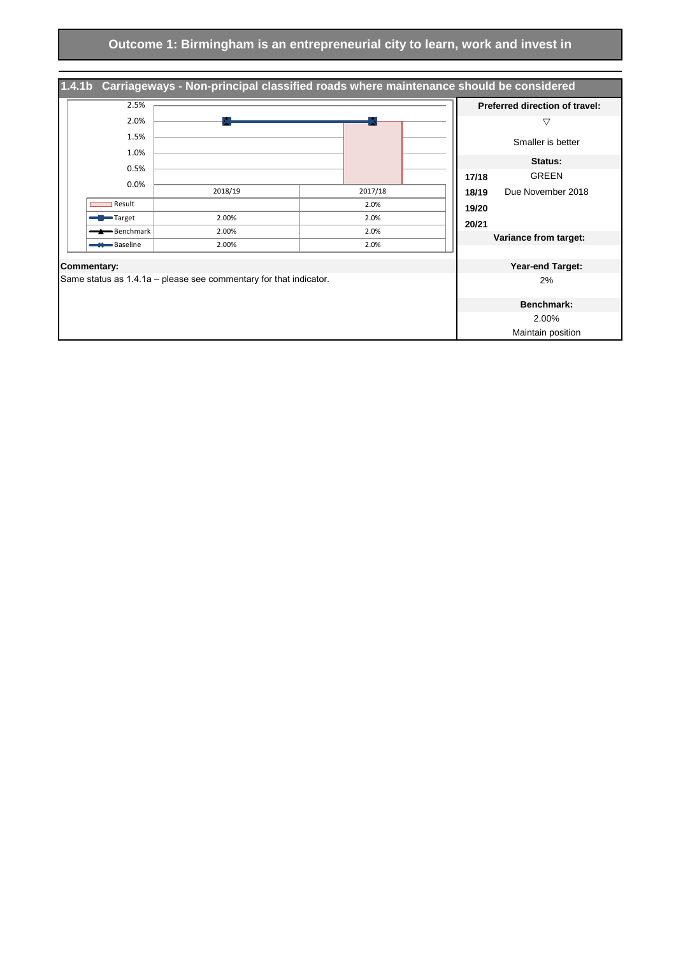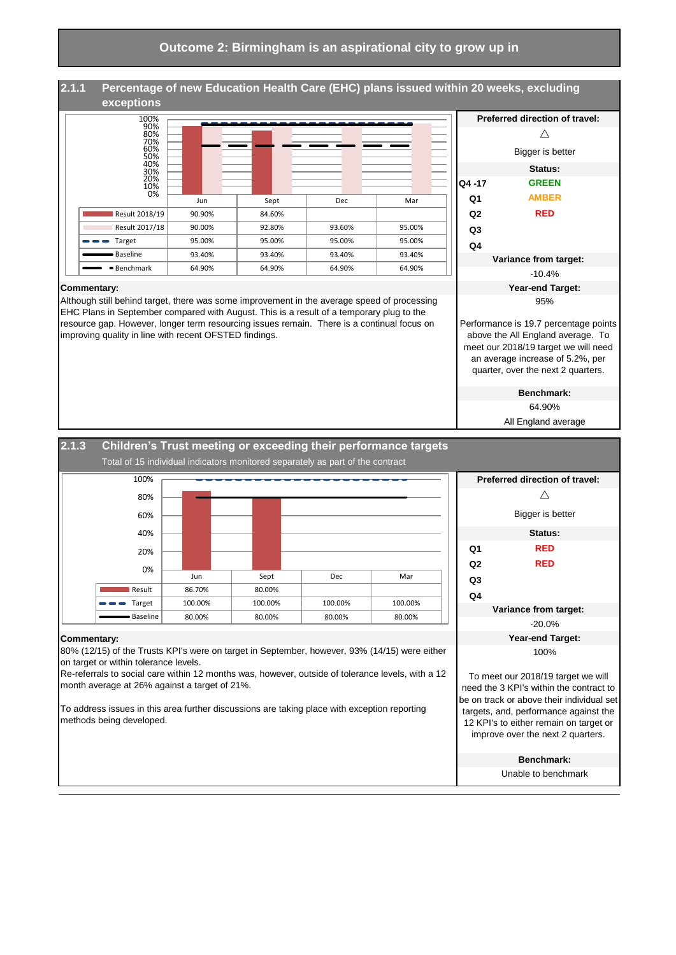# **Percentage of new Education Health Care (EHC) plans issued within 20 weeks, excluding exceptions**



Although still behind target, there was some improvement in the average speed of processing EHC Plans in September compared with August. This is a result of a temporary plug to the resource gap. However, longer term resourcing issues remain. There is a continual focus on

improving quality in line with recent OFSTED findings.

**Commentary:** 

|                                                                                                                                                                                              | Preferred direction of travel: |  |  |  |  |
|----------------------------------------------------------------------------------------------------------------------------------------------------------------------------------------------|--------------------------------|--|--|--|--|
|                                                                                                                                                                                              |                                |  |  |  |  |
|                                                                                                                                                                                              | Bigger is better               |  |  |  |  |
|                                                                                                                                                                                              | Status:                        |  |  |  |  |
| Q4 -17                                                                                                                                                                                       | <b>GREEN</b>                   |  |  |  |  |
| Ο1                                                                                                                                                                                           | <b>AMBER</b>                   |  |  |  |  |
| Q <sub>2</sub>                                                                                                                                                                               | RED                            |  |  |  |  |
| Q3                                                                                                                                                                                           |                                |  |  |  |  |
| Q4                                                                                                                                                                                           |                                |  |  |  |  |
|                                                                                                                                                                                              | Variance from target:          |  |  |  |  |
|                                                                                                                                                                                              | $-10.4%$                       |  |  |  |  |
|                                                                                                                                                                                              | Year-end Target:               |  |  |  |  |
|                                                                                                                                                                                              | 95%                            |  |  |  |  |
| Performance is 19.7 percentage points<br>above the All England average. To<br>meet our 2018/19 target we will need<br>an average increase of 5.2%, per<br>quarter, over the next 2 quarters. |                                |  |  |  |  |

**Benchmark:** 64.90%

All England average



# **2.1.1**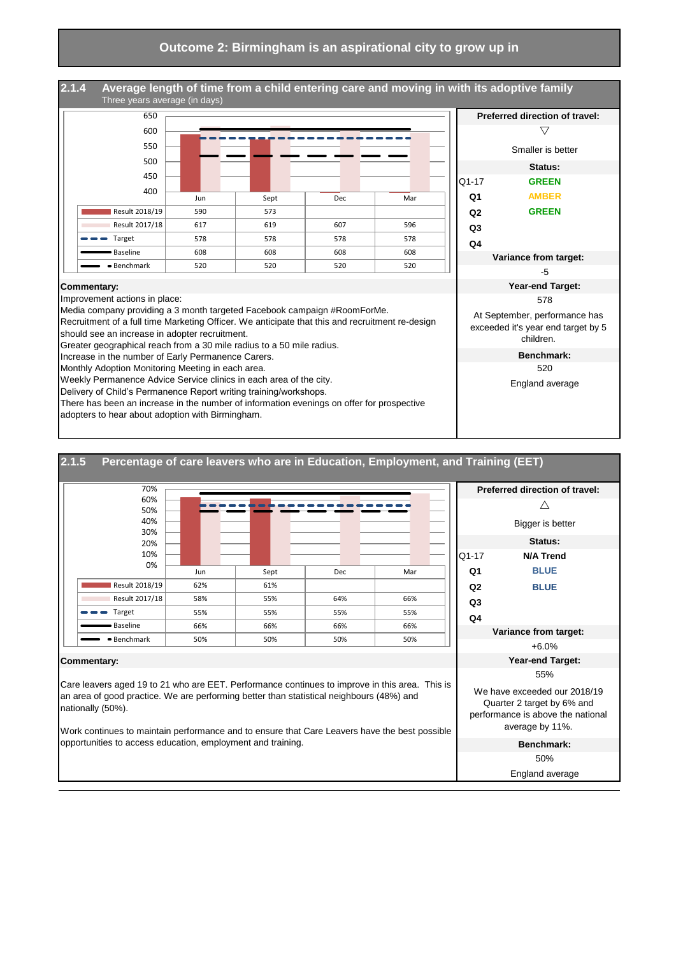

adopters to hear about adoption with Birmingham.

| 2.1.5<br>Percentage of care leavers who are in Education, Employment, and Training (EET)                                                                                                                                                                                                                         |                                                                                                                    |  |  |
|------------------------------------------------------------------------------------------------------------------------------------------------------------------------------------------------------------------------------------------------------------------------------------------------------------------|--------------------------------------------------------------------------------------------------------------------|--|--|
| 70%                                                                                                                                                                                                                                                                                                              | Preferred direction of travel:                                                                                     |  |  |
| 60%<br>50%                                                                                                                                                                                                                                                                                                       | ╱╲                                                                                                                 |  |  |
| 40%<br>30%                                                                                                                                                                                                                                                                                                       | Bigger is better                                                                                                   |  |  |
| 20%                                                                                                                                                                                                                                                                                                              | Status:                                                                                                            |  |  |
| 10%<br>Q1-17                                                                                                                                                                                                                                                                                                     | <b>N/A Trend</b>                                                                                                   |  |  |
| 0%<br>Q <sub>1</sub><br>Sept<br>Dec<br>Mar<br>Jun                                                                                                                                                                                                                                                                | <b>BLUE</b>                                                                                                        |  |  |
| Result 2018/19<br>62%<br>61%<br>Q <sub>2</sub>                                                                                                                                                                                                                                                                   | <b>BLUE</b>                                                                                                        |  |  |
| Result 2017/18<br>58%<br>55%<br>64%<br>66%<br>Q <sub>3</sub>                                                                                                                                                                                                                                                     |                                                                                                                    |  |  |
| Target<br>55%<br>55%<br>55%<br>55%<br>Q4                                                                                                                                                                                                                                                                         |                                                                                                                    |  |  |
| Baseline<br>66%<br>66%<br>66%<br>66%                                                                                                                                                                                                                                                                             | Variance from target:                                                                                              |  |  |
| • Benchmark<br>50%<br>50%<br>50%<br>50%                                                                                                                                                                                                                                                                          | $+6.0%$                                                                                                            |  |  |
| Commentary:                                                                                                                                                                                                                                                                                                      | <b>Year-end Target:</b>                                                                                            |  |  |
|                                                                                                                                                                                                                                                                                                                  | 55%                                                                                                                |  |  |
| Care leavers aged 19 to 21 who are EET. Performance continues to improve in this area. This is<br>an area of good practice. We are performing better than statistical neighbours (48%) and<br>nationally (50%).<br>Work continues to maintain performance and to ensure that Care Leavers have the best possible | We have exceeded our 2018/19<br>Quarter 2 target by 6% and<br>performance is above the national<br>average by 11%. |  |  |
| opportunities to access education, employment and training.                                                                                                                                                                                                                                                      | Benchmark:                                                                                                         |  |  |
|                                                                                                                                                                                                                                                                                                                  | 50%                                                                                                                |  |  |
|                                                                                                                                                                                                                                                                                                                  | England average                                                                                                    |  |  |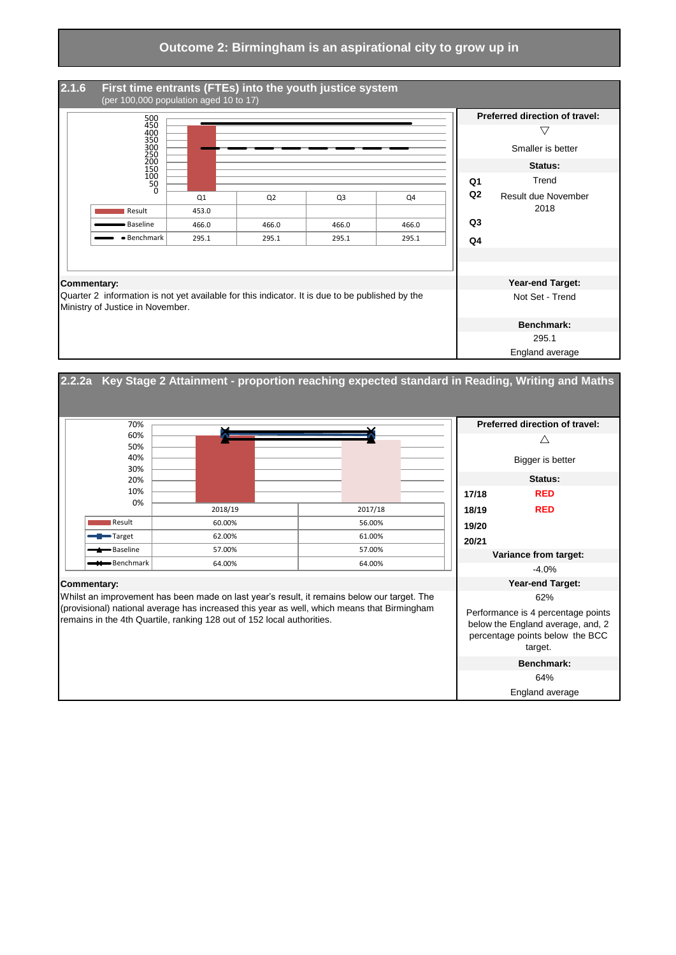

#### **2.2.2a Key Stage 2 Attainment - proportion reaching expected standard in Reading, Writing and Maths**  $\triangle$ Bigger is better **Status: 17/18 RED 18/19 RED 19/20 20/21** N/A -4.0% **Commentary: Year-end Target:** 62% **Benchmark: Variance from target:** Whilst an improvement has been made on last year's result, it remains below our target. The (provisional) national average has increased this year as well, which means that Birmingham remains in the 4th Quartile, ranking 128 out of 152 local authorities. Performance is 4 percentage points below the England average, and, 2 percentage points below the BCC target. **Preferred direction of travel:** 2018/19 2017/18 Result | 60.00% and 56.00% Target | 62.00% | 61.00% Baseline 27.00% 57.00% 57.00% 57.00%  $\blacksquare$  Benchmark 64.00% 64.00% 64.00% 0% 10% 20% 30% 40% 50% 60% 70%

64%

England average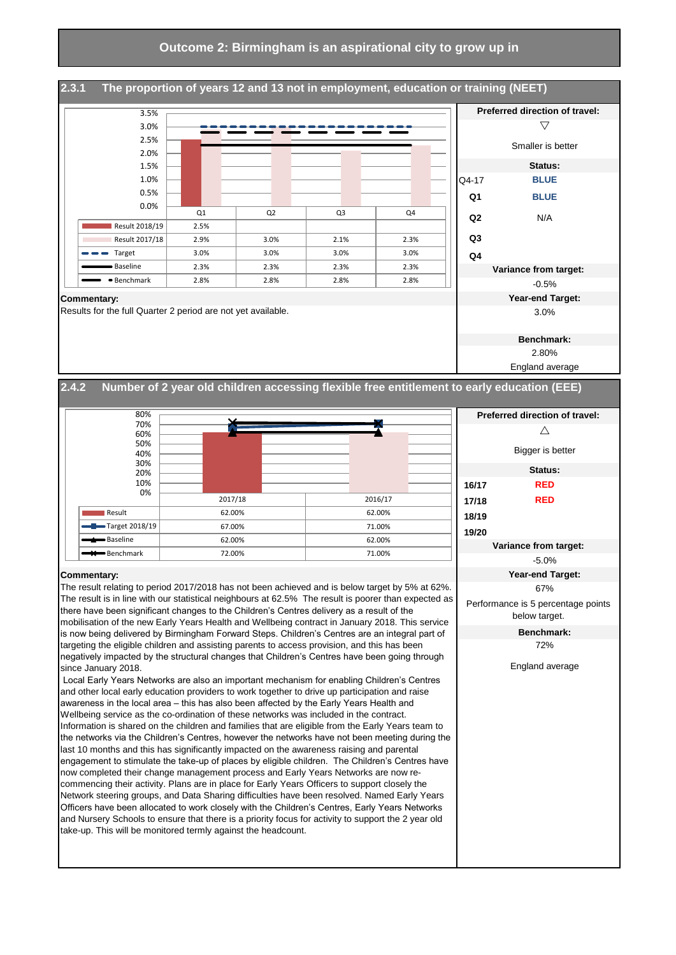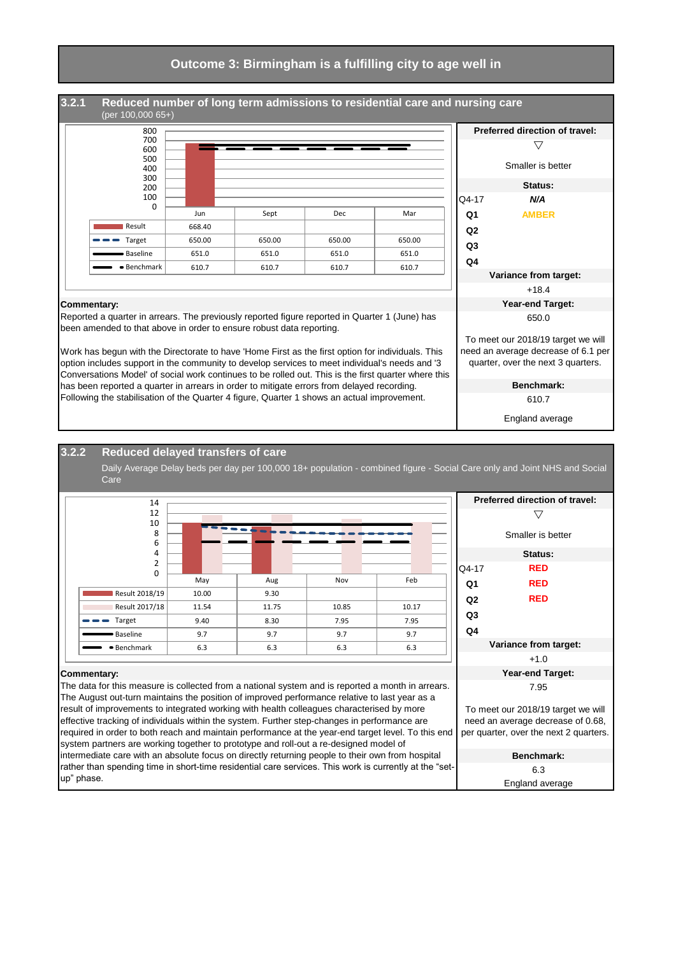#### **Outcome 3: Birmingham is a fulfilling city to age well in**



#### **3.2.2 Reduced delayed transfers of care**

Daily Average Delay beds per day per 100,000 18+ population - combined figure - Social Care only and Joint NHS and Social Care

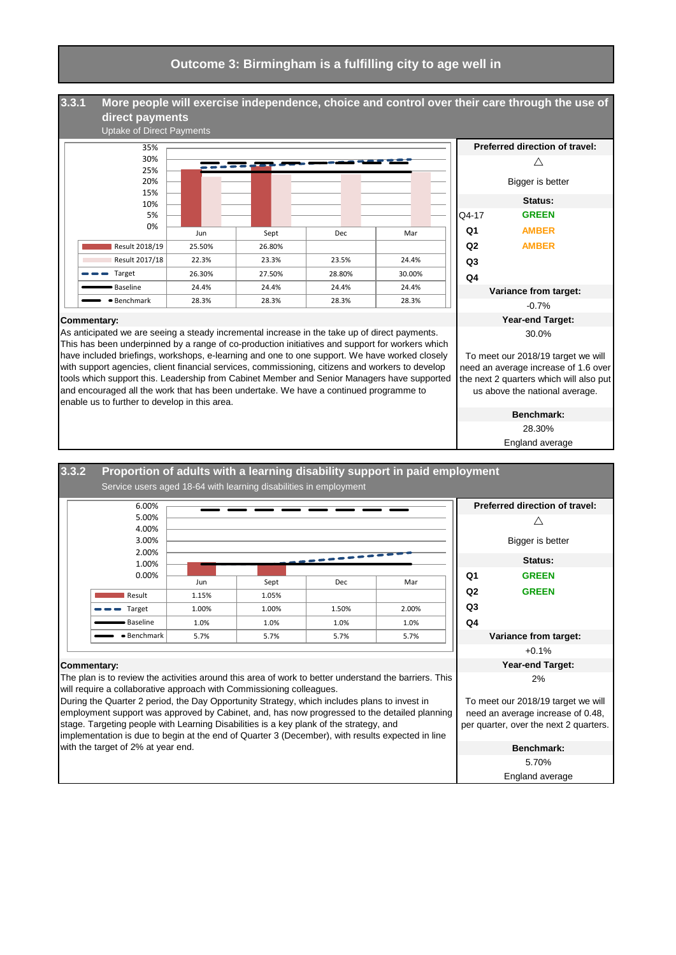#### **Outcome 3: Birmingham is a fulfilling city to age well in**

**3.3.1**  $\wedge$ Bigger is better **Status:** Q4-17 **GREEN Q1 AMBER Q2 AMBER Q3 Q4** -0.7% **Commentary: Year-end Target: More people will exercise independence, choice and control over their care through the use of direct payments** Uptake of Direct Payments **Preferred direction of travel: Variance from target:** Jun Sept Dec Mar Result 2018/19 25.50% 26.80% Result 2017/18 22.3% 23.3% 23.5% 24.4% Target 26.30% 27.50% 28.80% 30.00% Baseline 24.4% 24.4% 24.4% 24.4% Benchmark 28.3% 28.3% 28.3% 28.3% 0% 5% 10% 15% 20% 25% 30% 35%

As anticipated we are seeing a steady incremental increase in the take up of direct payments. This has been underpinned by a range of co-production initiatives and support for workers which have included briefings, workshops, e-learning and one to one support. We have worked closely with support agencies, client financial services, commissioning, citizens and workers to develop tools which support this. Leadership from Cabinet Member and Senior Managers have supported and encouraged all the work that has been undertake. We have a continued programme to enable us to further to develop in this area.



need an average increase of 1.6 over the next 2 quarters which will also put us above the national average.

> **Benchmark:** 28.30%

England average

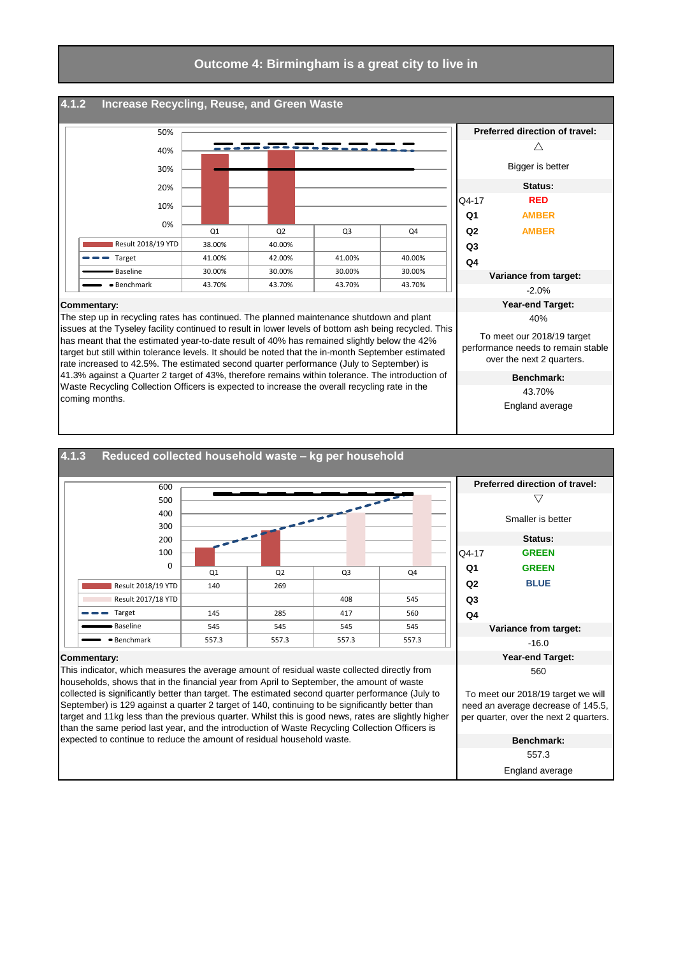#### **4.1.2 Increase Recycling, Reuse, and Green Waste**



The step up in recycling rates has continued. The planned maintenance shutdown and plant issues at the Tyseley facility continued to result in lower levels of bottom ash being recycled. This has meant that the estimated year-to-date result of 40% has remained slightly below the 42% target but still within tolerance levels. It should be noted that the in-month September estimated rate increased to 42.5%. The estimated second quarter performance (July to September) is 41.3% against a Quarter 2 target of 43%, therefore remains within tolerance. The introduction of Waste Recycling Collection Officers is expected to increase the overall recycling rate in the coming months.



England average

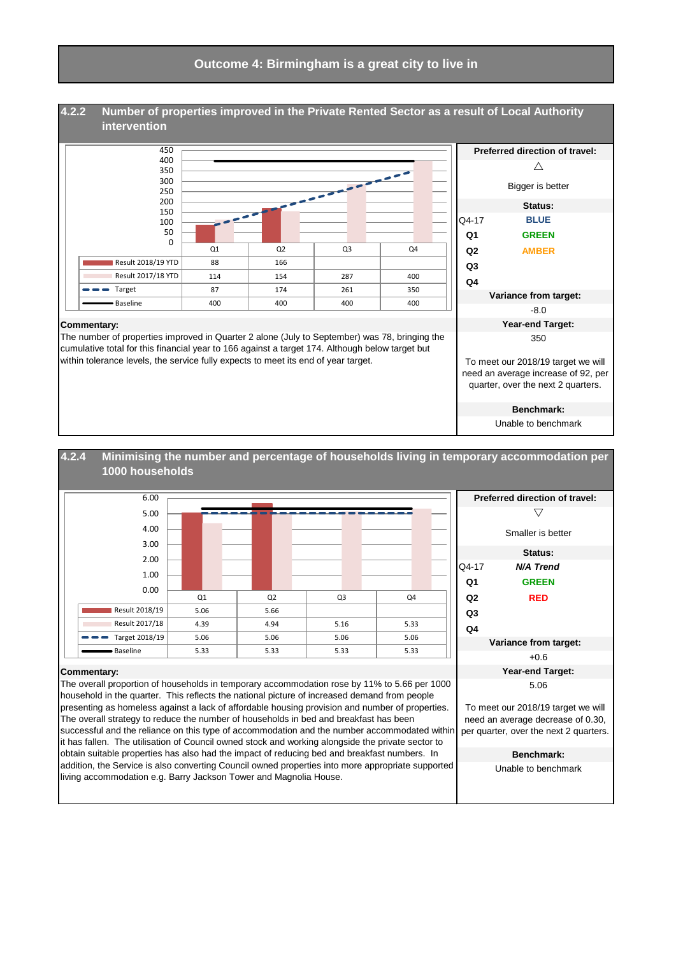

#### $\overline{\nabla}$ Smaller is better **Status:** Q4-17 *N/A Trend* **Q1 GREEN Q2 RED Q3 Q4** +0.6 **Commentary: Year-end Target:** 5.06 **Benchmark:** Unable to benchmark **Minimising the number and percentage of households living in temporary accommodation per 1000 households** I **Preferred direction of travel: Variance from target:** The overall proportion of households in temporary accommodation rose by 11% to 5.66 per 1000 household in the quarter. This reflects the national picture of increased demand from people presenting as homeless against a lack of affordable housing provision and number of properties. The overall strategy to reduce the number of households in bed and breakfast has been successful and the reliance on this type of accommodation and the number accommodated within it has fallen. The utilisation of Council owned stock and working alongside the private sector to obtain suitable properties has also had the impact of reducing bed and breakfast numbers. In addition, the Service is also converting Council owned properties into more appropriate supported To meet our 2018/19 target we will need an average decrease of 0.30, per quarter, over the next 2 quarters. Q1 Q2 Q3 Q4 Result 2018/19 5.06 5.66 Result 2017/18 4.39 4.94 5.16 5.33  $\bullet$  Target 2018/19 5.06 5.06 5.06 5.06 5.06 Baseline | 5.33 | 5.33 | 5.33 | 5.33 0.00 1.00 2.00 3.00 4.00 5.00 6.00

living accommodation e.g. Barry Jackson Tower and Magnolia House.

**4.2.4**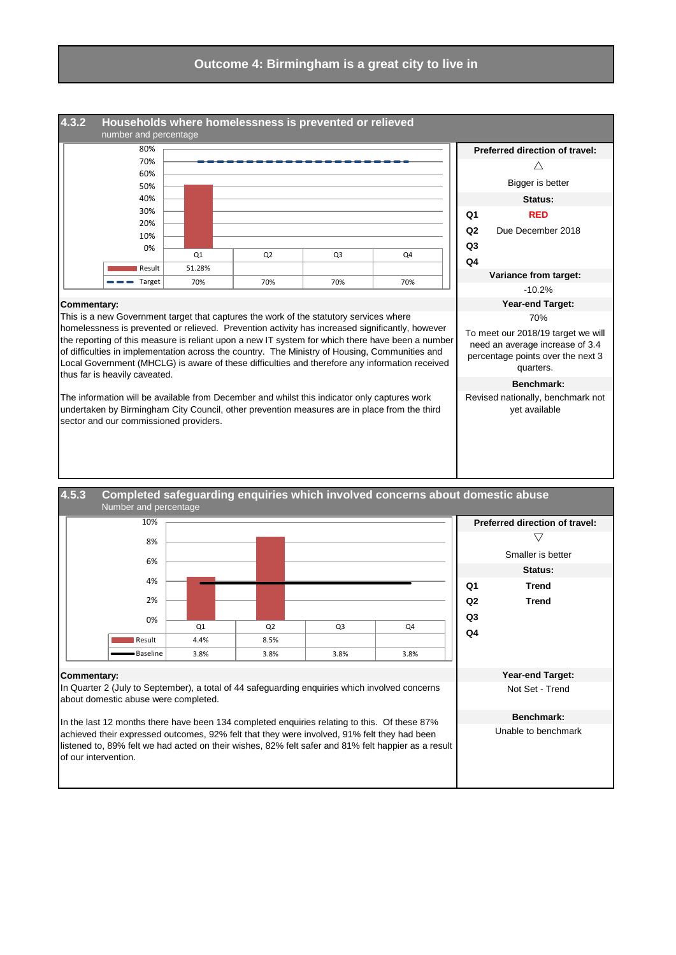

**Benchmark:** Unable to benchmark

about domestic abuse were completed.

In the last 12 months there have been 134 completed enquiries relating to this. Of these 87% achieved their expressed outcomes, 92% felt that they were involved, 91% felt they had been listened to, 89% felt we had acted on their wishes, 82% felt safer and 81% felt happier as a result of our intervention.